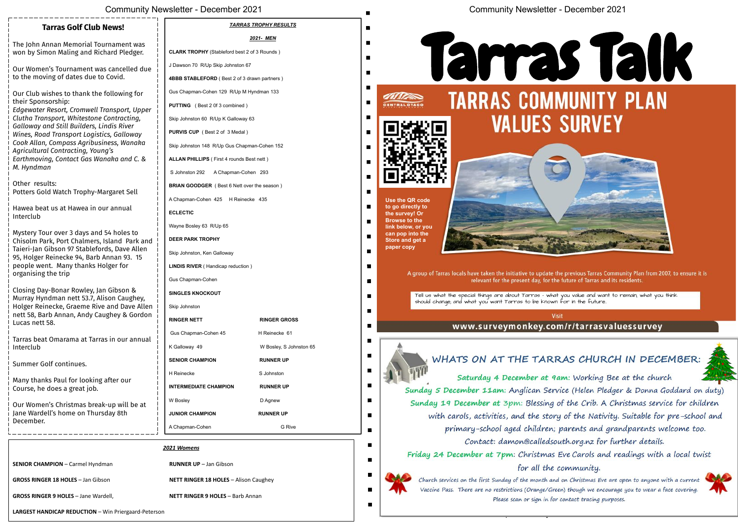Tarras Talk is sponsored by: **TARRAS RURAL WOMEN**



|                                                                                                             | <b>Community Newsletter - December 2021</b>         |                              | <b>Community Newsletter - December 2021</b>                                                                                                                   |
|-------------------------------------------------------------------------------------------------------------|-----------------------------------------------------|------------------------------|---------------------------------------------------------------------------------------------------------------------------------------------------------------|
| <b>News!</b>                                                                                                |                                                     | <b>TARRAS TROPHY RESULTS</b> |                                                                                                                                                               |
| rnament was                                                                                                 |                                                     | 2021- MEN                    |                                                                                                                                                               |
| hard Pledger.                                                                                               | <b>CLARK TROPHY</b> (Stableford best 2 of 3 Rounds) |                              |                                                                                                                                                               |
| s cancelled due<br>Covid.                                                                                   | J Dawson 70 R/Up Skip Johnston 67                   |                              | <b>Tarras</b>                                                                                                                                                 |
|                                                                                                             | 4BBB STABLEFORD (Best 2 of 3 drawn partners)        |                              |                                                                                                                                                               |
| following for                                                                                               | Gus Chapman-Cohen 129 R/Up M Hyndman 133            |                              |                                                                                                                                                               |
| ansport, Upper<br>Contracting,<br>ndis River<br>cs, Galloway<br>ness, Wanaka<br>g's<br>naka and C. &        | <b>PUTTING</b> (Best 2 0f 3 combined)               |                              | <b>TARRAS COMMUNITY</b><br>$\blacksquare$<br><b>RAL OTAGO</b>                                                                                                 |
|                                                                                                             | Skip Johnston 60 R/Up K Galloway 63                 |                              | <b>VALUES SURVEY</b>                                                                                                                                          |
|                                                                                                             | PURVIS CUP (Best 2 of 3 Medal)                      |                              |                                                                                                                                                               |
|                                                                                                             | Skip Johnston 148 R/Up Gus Chapman-Cohen 152        |                              |                                                                                                                                                               |
|                                                                                                             | ALLAN PHILLIPS (First 4 rounds Best nett)           |                              | $\blacksquare$                                                                                                                                                |
|                                                                                                             | A Chapman-Cohen 293<br>S Johnston 292               |                              | $\blacksquare$                                                                                                                                                |
| argaret Sell<br>ır annual                                                                                   | BRIAN GOODGER (Best 6 Nett over the season)         |                              |                                                                                                                                                               |
|                                                                                                             | A Chapman-Cohen 425 H Reinecke 435                  |                              | Use the QR code                                                                                                                                               |
|                                                                                                             | <b>ECLECTIC</b>                                     |                              | to go directly to<br>the survey! Or                                                                                                                           |
|                                                                                                             | Wayne Bosley 63 R/Up 65                             |                              | <b>Browse to the</b><br>link below, or you                                                                                                                    |
| 54 holes to<br>sland Park and                                                                               | <b>DEER PARK TROPHY</b>                             |                              | can pop into the<br>Store and get a                                                                                                                           |
| ds, Dave Allen<br>Annan 93. 15<br>າlger for<br>Gibson &<br>son Caughey,<br>and Dave Allen<br>ighey & Gordon | Skip Johnston, Ken Galloway                         |                              | paper copy                                                                                                                                                    |
|                                                                                                             | <b>LINDIS RIVER</b> (Handicap reduction)            |                              |                                                                                                                                                               |
|                                                                                                             | Gus Chapman-Cohen                                   |                              | A group of Tarras locals have taken the initiative to update the previous Tarras Commun<br>relevant for the present day, for the future of Tarras and its res |
|                                                                                                             | <b>SINGLES KNOCKOUT</b>                             |                              | Tell us what the special things are about Tarras - what you value and want to re<br>$\blacksquare$                                                            |
|                                                                                                             | Skip Johnston                                       |                              | should change; and what you want Tarras to be known for in the future.<br>$\blacksquare$                                                                      |
|                                                                                                             | <b>RINGER NETT</b>                                  | <b>RINGER GROSS</b>          | Visit<br>www.surveymonkey.com/r/tarrasvalue                                                                                                                   |
| s in our annual                                                                                             | Gus Chapman-Cohen 45                                | H Reinecke 61                |                                                                                                                                                               |
|                                                                                                             | K Galloway 49                                       | W Bosley, S Johnston 65      |                                                                                                                                                               |
| after our                                                                                                   | <b>SENIOR CHAMPION</b>                              | <b>RUNNER UP</b>             | WHATS ON AT THE TARRAS CHURCH                                                                                                                                 |
|                                                                                                             | H Reinecke                                          | S Johnston                   | Saturday 4 December at 9am: Working Bee a                                                                                                                     |
|                                                                                                             | <b>INTERMEDIATE CHAMPION</b>                        | <b>RUNNER UP</b>             | Sunday 5 December 11am: Anglican Service (Helen Pledger                                                                                                       |
| -up will be at                                                                                              | W Bosley                                            | D Agnew                      | Sunday 19 December at 3pm: Blessing of the Crib. A Chri                                                                                                       |
| day 8th                                                                                                     | <b>JUNIOR CHAMPION</b>                              | <b>RUNNER UP</b>             | with carols, activities, and the story of the Nativity. S                                                                                                     |
|                                                                                                             | A Chapman-Cohen                                     | G Rive                       | primary-school aged children; parents and grand                                                                                                               |
|                                                                                                             |                                                     |                              | Contact: damon@calledsouth.org.nz for furti                                                                                                                   |
| 2021 Womens                                                                                                 |                                                     |                              | Friday 24 December at 7pm: Christmas Eve Carols and rea                                                                                                       |
| าan                                                                                                         | <b>RUNNER UP</b> - Jan Gibson                       |                              | for all the community.                                                                                                                                        |
| on                                                                                                          | <b>NETT RINGER 18 HOLES - Alison Caughey</b>        |                              | Church services on the first Sunday of the month and on Christmas Eve are op                                                                                  |

Gus Chapman-Cohen 129 R/Up M Hyndman 133 **PUTTING** ( Best 2 0f 3 combined ) Skip Johnston 60 R/Up K Galloway 63 **PURVIS CUP** ( Best 2 of 3 Medal ) Skip Johnston 148 R/Up Gus Chapman-Cohen 152 **ALLAN PHILLIPS** ( First 4 rounds Best nett ) S Johnston 292 A Chapman-Cohen 293 **BRIAN GOODGER** ( Best 6 Nett over the season ) A Chapman-Cohen 425 H Reinecke 435 **ECLECTIC** Wayne Bosley 63 R/Up 65 **DEER PARK TROPHY** Skip Johnston, Ken Galloway **LINDIS RIVER** ( Handicap reduction ) Gus Chapman-Cohen **SINGLES KNOCKOUT** Skip Johnston **RINGER NETT RINGER GROSS** Our Club wishes to thank the following for their Sponsorship: *Edgewater Resort, Cromwell Transport, Upper Clutha Transport, Whitestone Contracting, Galloway and Still Builders, Lindis River Wines, Road Transport Logistics, Galloway Cook Allan, Compass Agribusiness, Wanaka Agricultural Contracting, Young's Earthmoving, Contact Gas Wanaka and C. & M. Hyndman* Other results: Potters Gold Watch Trophy-Margaret Sell Hawea beat us at Hawea in our annual Interclub Mystery Tour over 3 days and 54 holes to Chisolm Park, Port Chalmers, Island Park and Taieri-Jan Gibson 97 Stablefords, Dave Allen 95, Holger Reinecke 94, Barb Annan 93. 15 people went. Many thanks Holger for organising the trip Closing Day-Bonar Rowley, Jan Gibson & Murray Hyndman nett 53.7, Alison Caughey, Holger Reinecke, Graeme Rive and Dave Allen nett 58, Barb Annan, Andy Caughey & Gordon

**Tarras Golf Club News!**

The John Annan Memorial Tournament was won by Simon Maling and Richard Pledger.

Our Women's Tournament was cancelled due

to the moving of dates due to Covid.

Lucas nett 58.

Tarras beat Omarama at Tarras in our annual Interclub

Summer Golf continues.

Many thanks Paul for looking after our Course, he does a great job.

Our Women's Christmas break-up will be at Jane Wardell's home on Thursday 8th December.

|                                                      | 2021 Womens                                  |
|------------------------------------------------------|----------------------------------------------|
| <b>SENIOR CHAMPION - Carmel Hyndman</b>              | <b>RUNNER UP</b> - Jan Gibson                |
| <b>GROSS RINGER 18 HOLES - Jan Gibson</b>            | <b>NETT RINGER 18 HOLES - Alison Caughey</b> |
| GROSS RINGER 9 HOLES - Jane Wardell,                 | <b>NETT RINGER 9 HOLES - Barb Annan</b>      |
| LARGEST HANDICAP REDUCTION - Win Priergaard-Peterson |                                              |

# **Talk JRVEY**



ous Tarras Community Plan from 2007, to ensure it is of Tarras and its residents.

value and want to remain; what you think n the future..

'tarrasvaluessurvey

# CHURCH IN DECEMBER:

Working Bee at the church (Helen Pledger & Donna Goddard on duty) re Crib. A Christmas service for children the Nativity. Suitable for pre-school and ents and grandparents welcome too. org.nz for further details.

Carols and readings with a local twist munity.

hristmas Eve are open to anyone with a current Vaccine Pass. There are no restrictions (Orange/Green) though we encourage you to wear a face covering. Please scan or sign in for contact tracing purposes.